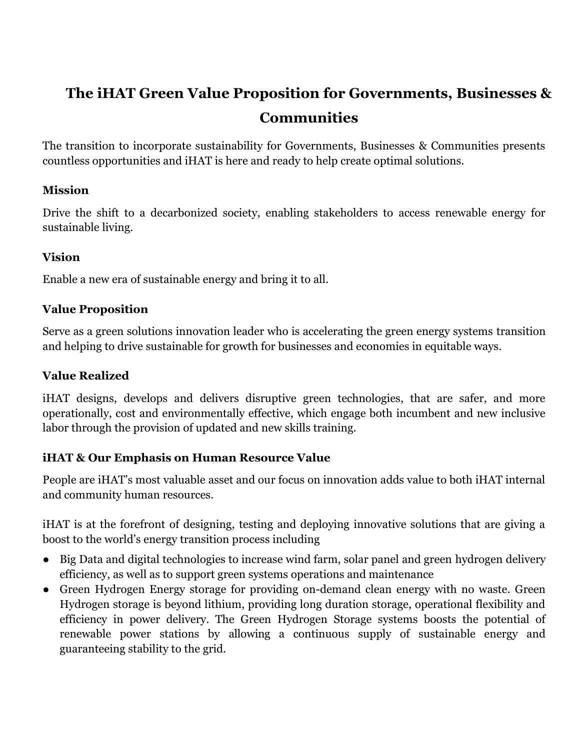# **The iHAT Green Value Proposition for Governments, Businesses & Communities**

The transition to incorporate sustainability for Governments, Businesses & Communities presents countless opportunities and iHAT is here and ready to help create optimal solutions.

#### **Mission**

Drive the shift to a decarbonized society, enabling stakeholders to access renewable energy for sustainable living.

# **Vision**

Enable a new era of sustainable energy and bring it to all.

#### **Value Proposition**

Serve as a green solutions innovation leader who is accelerating the green energy systems transition and helping to drive sustainable for growth for businesses and economies in equitable ways.

#### **Value Realized**

iHAT designs, develops and delivers disruptive green technologies, that are safer, and more operationally, cost and environmentally effective, which engage both incumbent and new inclusive labor through the provision of updated and new skills training.

#### **iHAT & Our Emphasis on Human Resource Value**

People are iHAT's most valuable asset and our focus on innovation adds value to both iHAT internal and community human resources.

iHAT is at the forefront of designing, testing and deploying innovative solutions that are giving a boost to the world's energy transition process including

- Big Data and digital technologies to increase wind farm, solar panel and green hydrogen delivery efficiency, as well as to support green systems operations and maintenance
- Green Hydrogen Energy storage for providing on-demand clean energy with no waste. Green Hydrogen storage is beyond lithium, providing long duration storage, operational flexibility and efficiency in power delivery. The Green Hydrogen Storage systems boosts the potential of renewable power stations by allowing a continuous supply of sustainable energy and guaranteeing stability to the grid.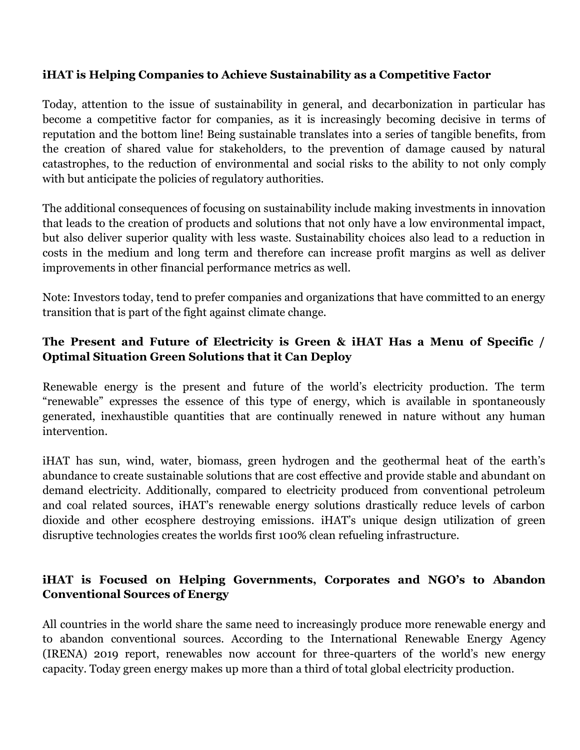#### **iHAT is Helping Companies to Achieve Sustainability as a Competitive Factor**

Today, attention to the issue of sustainability in general, and decarbonization in particular has become a competitive factor for companies, as it is increasingly becoming decisive in terms of reputation and the bottom line! Being sustainable translates into a series of tangible benefits, from the creation of shared value for stakeholders, to the prevention of damage caused by natural catastrophes, to the reduction of environmental and social risks to the ability to not only comply with but anticipate the policies of regulatory authorities.

The additional consequences of focusing on sustainability include making investments in innovation that leads to the creation of products and solutions that not only have a low environmental impact, but also deliver superior quality with less waste. Sustainability choices also lead to a reduction in costs in the medium and long term and therefore can increase profit margins as well as deliver improvements in other financial performance metrics as well.

Note: Investors today, tend to prefer companies and organizations that have committed to an energy transition that is part of the fight against climate change.

## **The Present and Future of Electricity is Green & iHAT Has a Menu of Specific / Optimal Situation Green Solutions that it Can Deploy**

Renewable energy is the present and future of the world's electricity production. The term "renewable" expresses the essence of this type of energy, which is available in spontaneously generated, inexhaustible quantities that are continually renewed in nature without any human intervention.

iHAT has sun, wind, water, biomass, green hydrogen and the geothermal heat of the earth's abundance to create sustainable solutions that are cost effective and provide stable and abundant on demand electricity. Additionally, compared to electricity produced from conventional petroleum and coal related sources, iHAT's renewable energy solutions drastically reduce levels of carbon dioxide and other ecosphere destroying emissions. iHAT's unique design utilization of green disruptive technologies creates the worlds first 100% clean refueling infrastructure.

#### **iHAT is Focused on Helping Governments, Corporates and NGO's to Abandon Conventional Sources of Energy**

All countries in the world share the same need to increasingly produce more renewable energy and to abandon conventional sources. According to the International Renewable Energy Agency (IRENA) 2019 report, renewables now account for three-quarters of the world's new energy capacity. Today green energy makes up more than a third of total global electricity production.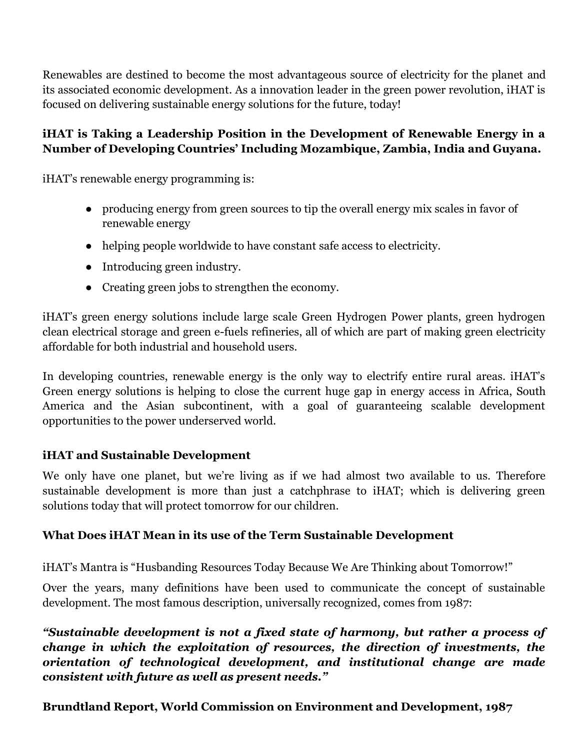Renewables are destined to become the most advantageous source of electricity for the planet and its associated economic development. As a innovation leader in the green power revolution, iHAT is focused on delivering sustainable energy solutions for the future, today!

## **iHAT is Taking a Leadership Position in the Development of Renewable Energy in a Number of Developing Countries' Including Mozambique, Zambia, India and Guyana.**

iHAT's renewable energy programming is:

- producing energy from green sources to tip the overall energy mix scales in favor of renewable energy
- helping people worldwide to have constant safe access to electricity.
- Introducing green industry.
- Creating green jobs to strengthen the economy.

iHAT's green energy solutions include large scale Green Hydrogen Power plants, green hydrogen clean electrical storage and green e-fuels refineries, all of which are part of making green electricity affordable for both industrial and household users.

In developing countries, renewable energy is the only way to electrify entire rural areas. iHAT's Green energy solutions is helping to close the current huge gap in energy access in Africa, South America and the Asian subcontinent, with a goal of guaranteeing scalable development opportunities to the power underserved world.

#### **iHAT and Sustainable Development**

We only have one planet, but we're living as if we had almost two available to us. Therefore sustainable development is more than just a catchphrase to iHAT; which is delivering green solutions today that will protect tomorrow for our children.

#### **What Does iHAT Mean in its use of the Term Sustainable Development**

iHAT's Mantra is "Husbanding Resources Today Because We Are Thinking about Tomorrow!"

Over the years, many definitions have been used to communicate the concept of sustainable development. The most famous description, universally recognized, comes from 1987:

*"Sustainable development is not a fixed state of harmony, but rather a process of change in which the exploitation of resources, the direction of investments, the orientation of technological development, and institutional change are made consistent with future as well as present needs."*

**Brundtland Report, World Commission on Environment and Development, 1987**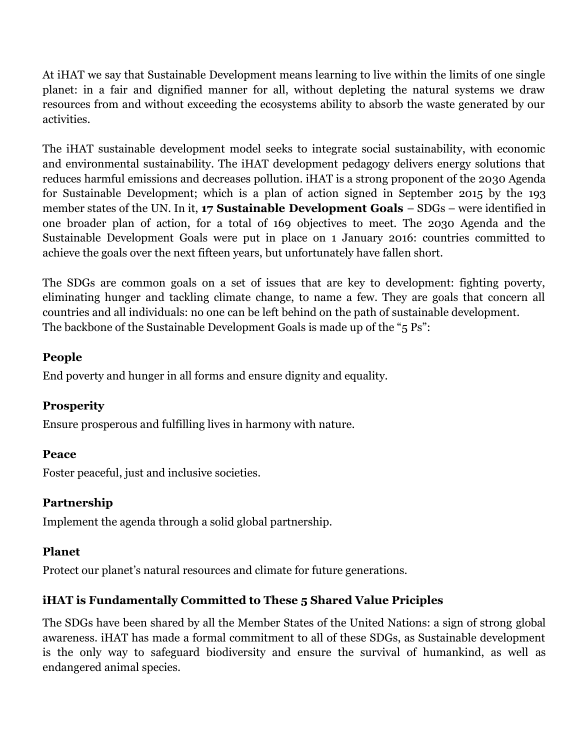At iHAT we say that Sustainable Development means learning to live within the limits of one single planet: in a fair and dignified manner for all, without depleting the natural systems we draw resources from and without exceeding the ecosystems ability to absorb the waste generated by our activities.

The iHAT sustainable development model seeks to integrate social sustainability, with economic and environmental sustainability. The iHAT development pedagogy delivers energy solutions that reduces harmful emissions and decreases pollution. iHAT is a strong proponent of the 2030 Agenda for Sustainable Development; which is a plan of action signed in September 2015 by the 193 member states of the UN. In it, **[17 Sustainable Development Goals](https://unric.org/it/agenda-2030/)** – SDGs – were identified in one broader plan of action, for a total of 169 objectives to meet. The 2030 Agenda and the Sustainable Development Goals were put in place on 1 January 2016: countries committed to achieve the goals over the next fifteen years, but unfortunately have fallen short.

The SDGs are common goals on a set of issues that are key to development: fighting poverty, eliminating hunger and tackling climate change, to name a few. They are goals that concern all countries and all individuals: no one can be left behind on the path of sustainable development. The backbone of the Sustainable Development Goals is made up of the "5 Ps":

#### **People**

End poverty and hunger in all forms and ensure dignity and equality.

#### **Prosperity**

Ensure prosperous and fulfilling lives in harmony with nature.

#### **Peace**

Foster peaceful, just and inclusive societies.

#### **Partnership**

Implement the agenda through a solid global partnership.

#### **Planet**

Protect our planet's natural resources and climate for future generations.

# **iHAT is Fundamentally Committed to These 5 Shared Value Priciples**

The SDGs have been shared by all the Member States of the United Nations: a sign of strong global awareness. iHAT has made a formal commitment to all of these SDGs, as Sustainable development is the only way to safeguard biodiversity and ensure the survival of humankind, as well as endangered animal species.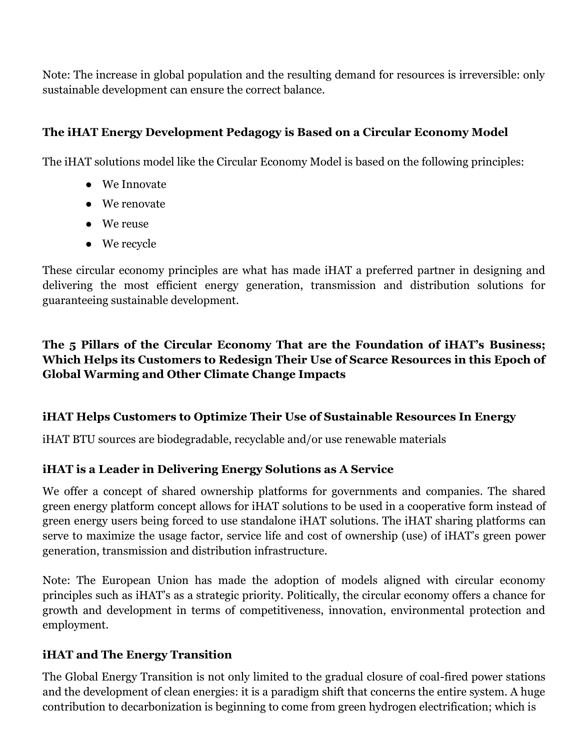Note: The increase in global population and the resulting demand for resources is irreversible: only sustainable development can ensure the correct balance.

# **The iHAT Energy Development Pedagogy is Based on a Circular Economy Model**

The iHAT solutions model like the Circular Economy Model is based on the following principles:

- We Innovate
- We renovate
- We reuse
- We recycle

These circular economy principles are what has made iHAT a preferred partner in designing and delivering the most efficient energy generation, transmission and distribution solutions for guaranteeing sustainable development.

## **The 5 Pillars of the Circular Economy That are the Foundation of iHAT's Business; Which Helps its Customers to Redesign Their Use of Scarce Resources in this Epoch of Global Warming and Other Climate Change Impacts**

#### **iHAT Helps Customers to Optimize Their Use of Sustainable Resources In Energy**

iHAT BTU sources are biodegradable, recyclable and/or use renewable materials

#### **iHAT is a Leader in Delivering Energy Solutions as A Service**

We offer a concept of shared ownership platforms for governments and companies. The shared green energy platform concept allows for iHAT solutions to be used in a cooperative form instead of green energy users being forced to use standalone iHAT solutions. The iHAT sharing platforms can serve to maximize the usage factor, service life and cost of ownership (use) of iHAT's green power generation, transmission and distribution infrastructure.

Note: The European Union has made the adoption of models aligned with circular economy principles such as iHAT's as a strategic priority. Politically, the circular economy offers a chance for growth and development in terms of competitiveness, innovation, environmental protection and employment.

#### **iHAT and The Energy Transition**

The Global Energy Transition is not only limited to the gradual closure of coal-fired power stations and the development of clean energies: it is a paradigm shift that concerns the entire system. A huge contribution to decarbonization is beginning to come from green hydrogen electrification; which is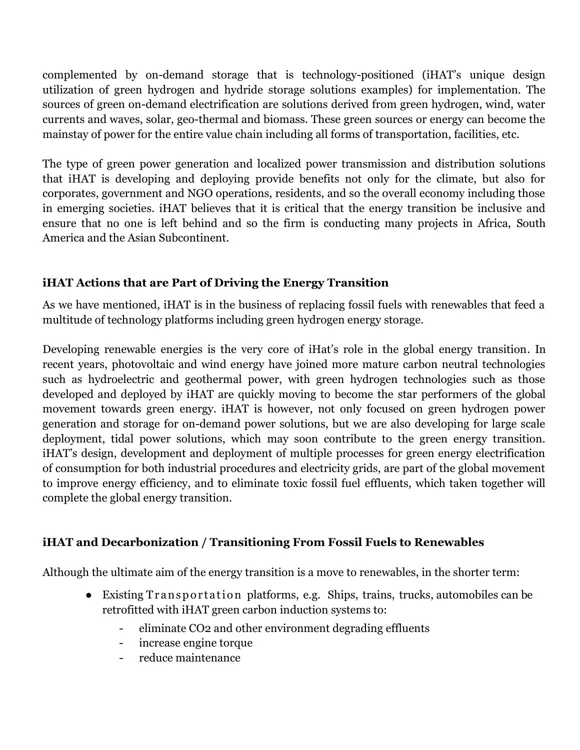complemented by on-demand storage that is technology-positioned (iHAT's unique design utilization of green hydrogen and hydride storage solutions examples) for implementation. The sources of green on-demand electrification are solutions derived from green hydrogen, wind, water currents and waves, solar, geo-thermal and biomass. These green sources or energy can become the mainstay of power for the entire value chain including all forms of transportation, facilities, etc.

The type of green power generation and localized power transmission and distribution solutions that iHAT is developing and deploying provide benefits not only for the climate, but also for corporates, government and NGO operations, residents, and so the overall economy including those in emerging societies. iHAT believes that it is critical that the energy transition be inclusive and ensure that no one is left behind and so the firm is conducting many projects in Africa, South America and the Asian Subcontinent.

# **iHAT Actions that are Part of Driving the Energy Transition**

As we have mentioned, iHAT is in the business of replacing fossil fuels with renewables that feed a multitude of technology platforms including green hydrogen energy storage.

Developing renewable energies is the very core of iHat's role in the global energy transition. In recent years, photovoltaic and wind energy have joined more mature carbon neutral technologies such as hydroelectric and geothermal power, with green hydrogen technologies such as those developed and deployed by iHAT are quickly moving to become the star performers of the global movement towards green energy. iHAT is however, not only focused on green hydrogen power generation and storage for on-demand power solutions, but we are also developing for large scale deployment, tidal power solutions, which may soon contribute to the green energy transition. iHAT's design, development and deployment of multiple processes for green energy electrification of consumption for both industrial procedures and electricity grids, are part of the global movement to improve energy efficiency, and to eliminate toxic fossil fuel effluents, which taken together will complete the global energy transition.

# **iHAT and Decarbonization / Transitioning From Fossil Fuels to Renewables**

Although the ultimate aim of the energy transition is a move to renewables, in the shorter term:

- Existing Transportation platforms, e.g. Ships, trains, trucks, automobiles can be retrofitted with iHAT green carbon induction systems to:
	- eliminate CO2 and other environment degrading effluents
	- increase engine torque
	- reduce maintenance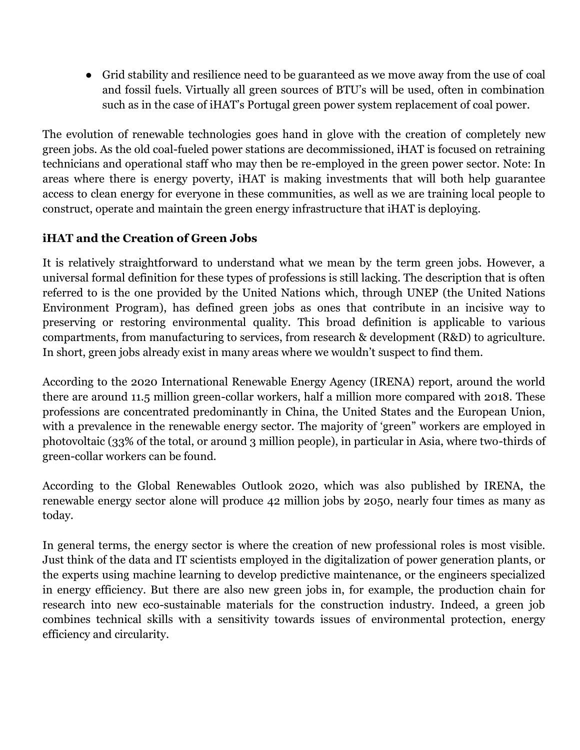● Grid stability and resilience need to be guaranteed as we move away from the use of coal and fossil fuels. Virtually all green sources of BTU's will be used, often in combination such as in the case of iHAT's Portugal green power system replacement of coal power.

The evolution of renewable technologies goes hand in glove with the creation of completely new green jobs. As the old coal-fueled power stations are decommissioned, iHAT is focused on retraining technicians and operational staff who may then be re-employed in the green power sector. Note: In areas where there is energy poverty, iHAT is making investments that will both help guarantee access to clean energy for everyone in these communities, as well as we are training local people to construct, operate and maintain the green energy infrastructure that iHAT is deploying.

# **iHAT and the Creation of Green Jobs**

It is relatively straightforward to understand what we mean by the term green jobs. However, a universal formal definition for these types of professions is still lacking. The description that is often referred to is the one provided by the United Nations which, through UNEP (the United Nations Environment Program), has defined green jobs as ones that contribute in an incisive way to preserving or restoring environmental quality. This broad definition is applicable to various compartments, from manufacturing to services, from research & development (R&D) to agriculture. In short, green jobs already exist in many areas where we wouldn't suspect to find them.

According to the 2020 International Renewable Energy Agency (IRENA) report, around the world there are around 11.5 million green-collar workers, half a million more compared with 2018. These professions are concentrated predominantly in China, the United States and the European Union, with a prevalence in the renewable energy sector. The majority of 'green" workers are employed in photovoltaic (33% of the total, or around 3 million people), in particular in Asia, where two-thirds of green-collar workers can be found.

According to the Global Renewables Outlook 2020, which was also published by IRENA, the renewable energy sector alone will produce 42 million jobs by 2050, nearly four times as many as today.

In general terms, the energy sector is where the creation of new professional roles is most visible. Just think of the data and IT scientists employed in the digitalization of power generation plants, or the experts using machine learning to develop predictive maintenance, or the engineers specialized in energy efficiency. But there are also new green jobs in, for example, the production chain for research into new eco-sustainable materials for the construction industry. Indeed, a green job combines technical skills with a sensitivity towards issues of environmental protection, energy efficiency and circularity.